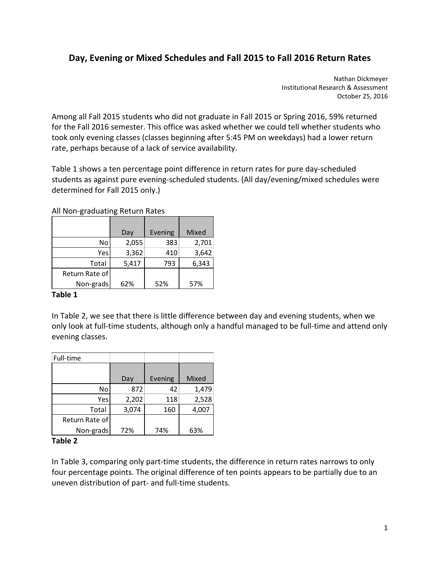# **Day, Evening or Mixed Schedules and Fall 2015 to Fall 2016 Return Rates**

 Nathan Dickmeyer Institutional Research & Assessment October 25, 2016

 Among all Fall 2015 students who did not graduate in Fall 2015 or Spring 2016, 59% returned for the Fall 2016 semester. This office was asked whether we could tell whether students who took only evening classes (classes beginning after 5:45 PM on weekdays) had a lower return rate, perhaps because of a lack of service availability.

 Table 1 shows a ten percentage point difference in return rates for pure day‐scheduled students as against pure evening‐scheduled students. (All day/evening/mixed schedules were determined for Fall 2015 only.)

|                | Day   | Evening | Mixed |
|----------------|-------|---------|-------|
| No             | 2,055 | 383     | 2,701 |
| Yes            | 3,362 | 410     | 3,642 |
| Total          | 5,417 | 793     | 6,343 |
| Return Rate of |       |         |       |
| Non-grads      | 62%   | 52%     | 57%   |

All Non‐graduating Return Rates

## **Table 1**

 In Table 2, we see that there is little difference between day and evening students, when we only look at full‐time students, although only a handful managed to be full‐time and attend only evening classes.

| Full-time      |       |         |       |
|----------------|-------|---------|-------|
|                | Day   | Evening | Mixed |
|                |       |         |       |
| No             | 872   | 42      | 1,479 |
| Yes            | 2,202 | 118     | 2,528 |
| Total          | 3,074 | 160     | 4,007 |
| Return Rate of |       |         |       |
| Non-grads      | 72%   | 74%     | 63%   |

#### **Table 2**

 In Table 3, comparing only part‐time students, the difference in return rates narrows to only four percentage points. The original difference of ten points appears to be partially due to an uneven distribution of part‐ and full‐time students.